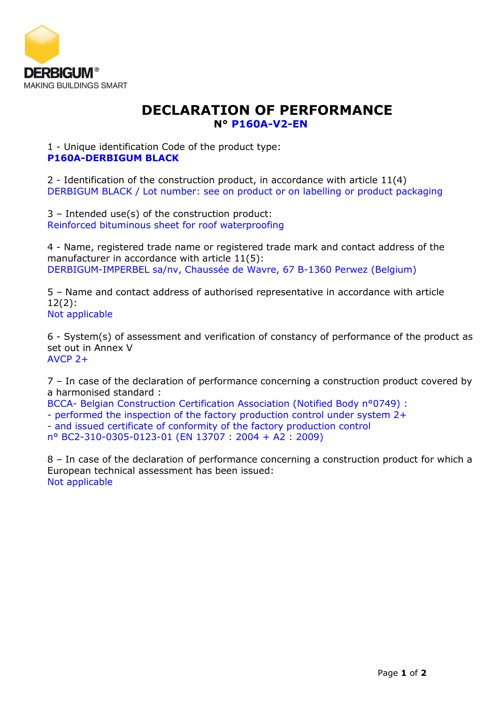

## **DECLARATION OF PERFORMANCE N° P160A-V2-EN**

1 - Unique identification Code of the product type: **P160A-DERBIGUM BLACK**

2 - Identification of the construction product, in accordance with article 11(4) DERBIGUM BLACK / Lot number: see on product or on labelling or product packaging

3 – Intended use(s) of the construction product: Reinforced bituminous sheet for roof waterproofing

4 - Name, registered trade name or registered trade mark and contact address of the manufacturer in accordance with article 11(5): DERBIGUM-IMPERBEL sa/nv, Chaussée de Wavre, 67 B-1360 Perwez (Belgium)

5 – Name and contact address of authorised representative in accordance with article 12(2): Not applicable

6 - System(s) of assessment and verification of constancy of performance of the product as set out in Annex V AVCP 2+

7 – In case of the declaration of performance concerning a construction product covered by a harmonised standard :

BCCA- Belgian Construction Certification Association (Notified Body n°0749) :

- performed the inspection of the factory production control under system 2+

- and issued certificate of conformity of the factory production control

n° BC2-310-0305-0123-01 (EN 13707 : 2004 + A2 : 2009)

8 – In case of the declaration of performance concerning a construction product for which a European technical assessment has been issued: Not applicable